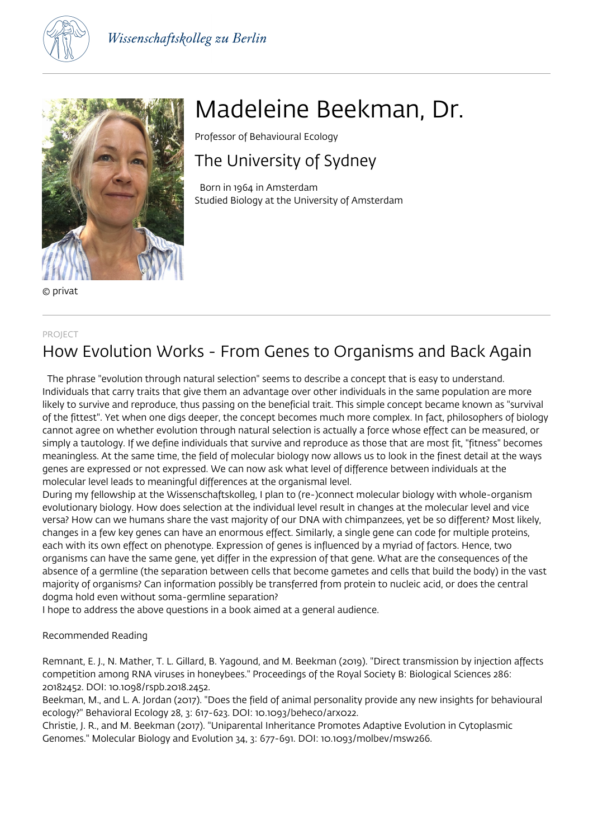



© privat

#### PROJECT

## How Evolution Works - From Genes to Organisms and Back Again

 The phrase "evolution through natural selection" seems to describe a concept that is easy to understand. Individuals that carry traits that give them an advantage over other individuals in the same population are more likely to survive and reproduce, thus passing on the beneficial trait. This simple concept became known as "survival of the fittest". Yet when one digs deeper, the concept becomes much more complex. In fact, philosophers of biology cannot agree on whether evolution through natural selection is actually a force whose effect can be measured, or simply a tautology. If we define individuals that survive and reproduce as those that are most fit, "fitness" becomes meaningless. At the same time, the field of molecular biology now allows us to look in the finest detail at the ways genes are expressed or not expressed. We can now ask what level of difference between individuals at the molecular level leads to meaningful differences at the organismal level.

During my fellowship at the Wissenschaftskolleg, I plan to (re-)connect molecular biology with whole-organism evolutionary biology. How does selection at the individual level result in changes at the molecular level and vice versa? How can we humans share the vast majority of our DNA with chimpanzees, yet be so different? Most likely, changes in a few key genes can have an enormous effect. Similarly, a single gene can code for multiple proteins, each with its own effect on phenotype. Expression of genes is influenced by a myriad of factors. Hence, two organisms can have the same gene, yet differ in the expression of that gene. What are the consequences of the absence of a germline (the separation between cells that become gametes and cells that build the body) in the vast majority of organisms? Can information possibly be transferred from protein to nucleic acid, or does the central dogma hold even without soma-germline separation?

I hope to address the above questions in a book aimed at a general audience.

### Recommended Reading

Remnant, E. J., N. Mather, T. L. Gillard, B. Yagound, and M. Beekman (2019). "Direct transmission by injection affects competition among RNA viruses in honeybees." Proceedings of the Royal Society B: Biological Sciences 286: 20182452. DOI: 10.1098/rspb.2018.2452.

Beekman, M., and L. A. Jordan (2017). "Does the field of animal personality provide any new insights for behavioural ecology?" Behavioral Ecology 28, 3: 617-623. DOI: 10.1093/beheco/arx022.

Christie, J. R., and M. Beekman (2017). "Uniparental Inheritance Promotes Adaptive Evolution in Cytoplasmic Genomes." Molecular Biology and Evolution 34, 3: 677-691. DOI: 10.1093/molbev/msw266.

# Madeleine Beekman, Dr.

Professor of Behavioural Ecology

# The University of Sydney

 Born in 1964 in Amsterdam Studied Biology at the University of Amsterdam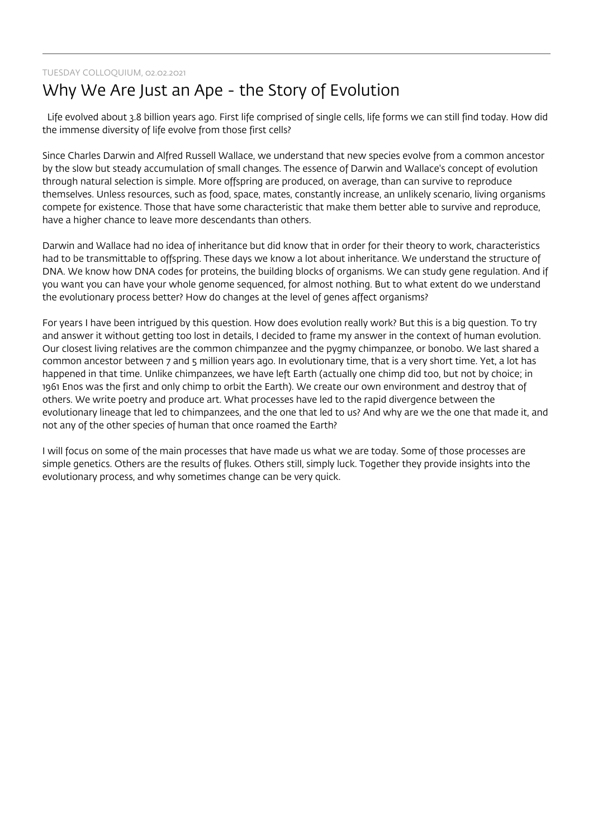### TUESDAY COLLOQUIUM, 02.02.2021

## Why We Are Just an Ape - the Story of Evolution

 Life evolved about 3.8 billion years ago. First life comprised of single cells, life forms we can still find today. How did the immense diversity of life evolve from those first cells?

Since Charles Darwin and Alfred Russell Wallace, we understand that new species evolve from a common ancestor by the slow but steady accumulation of small changes. The essence of Darwin and Wallace's concept of evolution through natural selection is simple. More offspring are produced, on average, than can survive to reproduce themselves. Unless resources, such as food, space, mates, constantly increase, an unlikely scenario, living organisms compete for existence. Those that have some characteristic that make them better able to survive and reproduce, have a higher chance to leave more descendants than others.

Darwin and Wallace had no idea of inheritance but did know that in order for their theory to work, characteristics had to be transmittable to offspring. These days we know a lot about inheritance. We understand the structure of DNA. We know how DNA codes for proteins, the building blocks of organisms. We can study gene regulation. And if you want you can have your whole genome sequenced, for almost nothing. But to what extent do we understand the evolutionary process better? How do changes at the level of genes affect organisms?

For years I have been intrigued by this question. How does evolution really work? But this is a big question. To try and answer it without getting too lost in details, I decided to frame my answer in the context of human evolution. Our closest living relatives are the common chimpanzee and the pygmy chimpanzee, or bonobo. We last shared a common ancestor between 7 and 5 million years ago. In evolutionary time, that is a very short time. Yet, a lot has happened in that time. Unlike chimpanzees, we have left Earth (actually one chimp did too, but not by choice; in 1961 Enos was the first and only chimp to orbit the Earth). We create our own environment and destroy that of others. We write poetry and produce art. What processes have led to the rapid divergence between the evolutionary lineage that led to chimpanzees, and the one that led to us? And why are we the one that made it, and not any of the other species of human that once roamed the Earth?

I will focus on some of the main processes that have made us what we are today. Some of those processes are simple genetics. Others are the results of flukes. Others still, simply luck. Together they provide insights into the evolutionary process, and why sometimes change can be very quick.